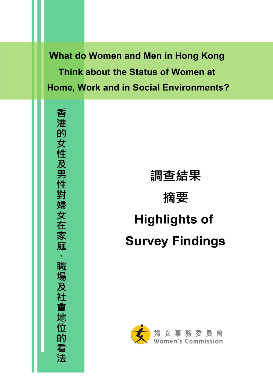What do Women and Men in Hong Kong Think about the Status of Women at Home, Work and in Social Environments? r--

香港的女性及男性對婦女在家庭、職場及社會地位的看法

# 調查結果

# 摘要

# Highlights of Survey Findings

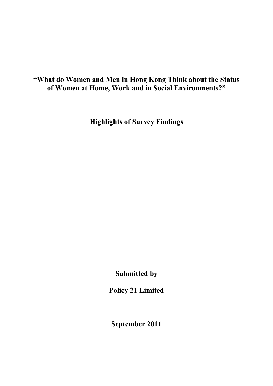# **"What do Women and Men in Hong Kong Think about the Status of Women at Home, Work and in Social Environments?"**

**Highlights of Survey Findings** 

**Submitted by** 

**Policy 21 Limited** 

**September 2011**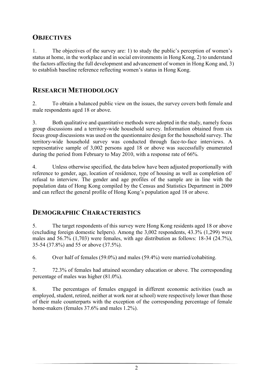# **OBJECTIVES**

1. The objectives of the survey are: 1) to study the public's perception of women's status at home, in the workplace and in social environments in Hong Kong, 2) to understand the factors affecting the full development and advancement of women in Hong Kong and, 3) to establish baseline reference reflecting women's status in Hong Kong.

# **RESEARCH METHODOLOGY**

2. To obtain a balanced public view on the issues, the survey covers both female and male respondents aged 18 or above.

3. Both qualitative and quantitative methods were adopted in the study, namely focus group discussions and a territory-wide household survey. Information obtained from six focus group discussions was used on the questionnaire design for the household survey. The territory-wide household survey was conducted through face-to-face interviews. A representative sample of 3,002 persons aged 18 or above was successfully enumerated during the period from February to May 2010, with a response rate of 66%.

4. Unless otherwise specified, the data below have been adjusted proportionally with reference to gender, age, location of residence, type of housing as well as completion of/ refusal to interview. The gender and age profiles of the sample are in line with the population data of Hong Kong compiled by the Census and Statistics Department in 2009 and can reflect the general profile of Hong Kong's population aged 18 or above.

#### **DEMOGRAPHIC CHARACTERISTICS**

5. The target respondents of this survey were Hong Kong residents aged 18 or above (excluding foreign domestic helpers). Among the 3,002 respondents, 43.3% (1,299) were males and 56.7% (1,703) were females, with age distribution as follows: 18-34 (24.7%), 35-54 (37.8%) and 55 or above (37.5%).

6. Over half of females (59.0%) and males (59.4%) were married/cohabiting.

7. 72.3% of females had attained secondary education or above. The corresponding percentage of males was higher (81.0%).

8. The percentages of females engaged in different economic activities (such as employed, student, retired, neither at work nor at school) were respectively lower than those of their male counterparts with the exception of the corresponding percentage of female home-makers (females 37.6% and males 1.2%).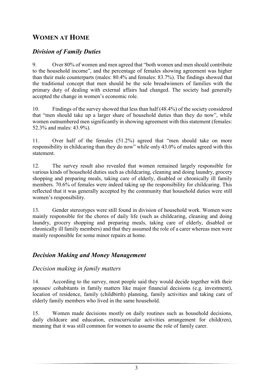# **WOMEN AT HOME**

# *Division of Family Duties*

9. Over 80% of women and men agreed that "both women and men should contribute to the household income", and the percentage of females showing agreement was higher than their male counterparts (males: 80.4% and females: 83.7%). The findings showed that the traditional concept that men should be the sole breadwinners of families with the primary duty of dealing with external affairs had changed. The society had generally accepted the change in women's economic role.

10. Findings of the survey showed that less than half (48.4%) of the society considered that "men should take up a larger share of household duties than they do now", while women outnumbered men significantly in showing agreement with this statement (females: 52.3% and males: 43.9%).

11. Over half of the females (51.2%) agreed that "men should take on more responsibility in childcaring than they do now" while only 43.0% of males agreed with this statement.

12. The survey result also revealed that women remained largely responsible for various kinds of household duties such as childcaring, cleaning and doing laundry, grocery shopping and preparing meals, taking care of elderly, disabled or chronically ill family members. 70.6% of females were indeed taking up the responsibility for childcaring. This reflected that it was generally accepted by the community that household duties were still women's responsibility.

13. Gender stereotypes were still found in division of household work. Women were mainly responsible for the chores of daily life (such as childcaring, cleaning and doing laundry, grocery shopping and preparing meals, taking care of elderly, disabled or chronically ill family members) and that they assumed the role of a carer whereas men were mainly responsible for some minor repairs at home.

# *Decision Making and Money Management*

#### *Decision making in family matters*

14. According to the survey, most people said they would decide together with their spouses/ cohabitants in family matters like major financial decisions (e.g. investment), location of residence, family (childbirth) planning, family activities and taking care of elderly family members who lived in the same household.

15. Women made decisions mostly on daily routines such as household decisions, daily childcare and education, extracurricular activities arrangement for child(ren), meaning that it was still common for women to assume the role of family carer.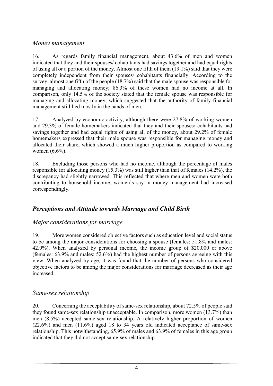#### *Money management*

16. As regards family financial management, about 43.6% of men and women indicated that they and their spouses/ cohabitants had savings together and had equal rights of using all or a portion of the money. Almost one fifth of them (19.1%) said that they were completely independent from their spouses/ cohabitants financially. According to the survey, almost one fifth of the people (18.7%) said that the male spouse was responsible for managing and allocating money; 86.3% of these women had no income at all. In comparison, only 14.5% of the society stated that the female spouse was responsible for managing and allocating money, which suggested that the authority of family financial management still lied mostly in the hands of men.

17. Analyzed by economic activity, although there were 27.8% of working women and 29.3% of female homemakers indicated that they and their spouses/ cohabitants had savings together and had equal rights of using all of the money, about 29.2% of female homemakers expressed that their male spouse was responsible for managing money and allocated their share, which showed a much higher proportion as compared to working women (6.6%).

18. Excluding those persons who had no income, although the percentage of males responsible for allocating money (15.3%) was still higher than that of females (14.2%), the discrepancy had slightly narrowed. This reflected that where men and women were both contributing to household income, women's say in money management had increased correspondingly.

#### *Perceptions and Attitude towards Marriage and Child Birth*

#### *Major considerations for marriage*

19. More women considered objective factors such as education level and social status to be among the major considerations for choosing a spouse (females: 51.8% and males: 42.0%). When analyzed by personal income, the income group of \$20,000 or above (females: 63.9% and males: 52.6%) had the highest number of persons agreeing with this view. When analyzed by age, it was found that the number of persons who considered objective factors to be among the major considerations for marriage decreased as their age increased.

#### *Same-sex relationship*

20. Concerning the acceptability of same-sex relationship, about 72.5% of people said they found same-sex relationship unacceptable. In comparison, more women (13.7%) than men (8.5%) accepted same-sex relationship. A relatively higher proportion of women (22.6%) and men (11.6%) aged 18 to 34 years old indicated acceptance of same-sex relationship. This notwithstanding, 65.9% of males and 63.9% of females in this age group indicated that they did not accept same-sex relationship.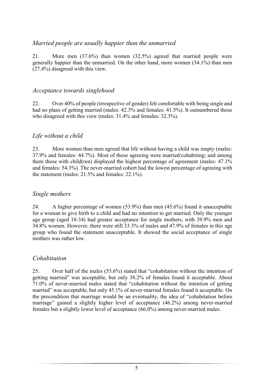#### *Married people are usually happier than the unmarried*

21. More men (37.6%) than women (32.5%) agreed that married people were generally happier than the unmarried. On the other hand, more women (34.1%) than men (27.4%) disagreed with this view.

#### *Acceptance towards singlehood*

22. Over 40% of people (irrespective of gender) felt comfortable with being single and had no plans of getting married (males:  $42.3\%$  and females:  $41.5\%$ ). It outnumbered those who disagreed with this view (males: 31.4% and females: 32.3%).

#### *Life without a child*

23. More women than men agreed that life without having a child was empty (males: 37.9% and females: 44.7%). Most of those agreeing were married/cohabiting; and among them those with child(ren) displayed the highest percentage of agreement (males: 47.1% and females: 54.3%). The never-married cohort had the lowest percentage of agreeing with the statement (males: 21.5% and females: 22.1%).

#### *Single mothers*

24. A higher percentage of women (53.9%) than men (45.6%) found it unacceptable for a woman to give birth to a child and had no intention to get married. Only the younger age group (aged 18-34) had greater acceptance for single mothers, with 39.9% men and 34.8% women. However, there were still 33.3% of males and 47.9% of females in this age group who found the statement unacceptable. It showed the social acceptance of single mothers was rather low.

#### *Cohabitation*

25. Over half of the males (53.6%) stated that "cohabitation without the intention of getting married" was acceptable, but only 38.2% of females found it acceptable. About 71.0% of never-married males stated that "cohabitation without the intention of getting married" was acceptable, but only 45.1% of never-married females found it acceptable. On the precondition that marriage would be an eventuality, the idea of "cohabitation before marriage" gained a slightly higher level of acceptance (46.2%) among never-married females but a slightly lower level of acceptance (66.0%) among never-married males.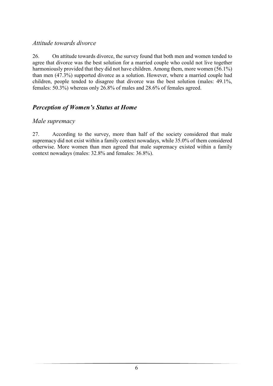#### *Attitude towards divorce*

26. On attitude towards divorce, the survey found that both men and women tended to agree that divorce was the best solution for a married couple who could not live together harmoniously provided that they did not have children. Among them, more women (56.1%) than men (47.3%) supported divorce as a solution. However, where a married couple had children, people tended to disagree that divorce was the best solution (males: 49.1%, females: 50.3%) whereas only 26.8% of males and 28.6% of females agreed.

# *Perception of Women's Status at Home*

#### *Male supremacy*

27. According to the survey, more than half of the society considered that male supremacy did not exist within a family context nowadays, while 35.0% of them considered otherwise. More women than men agreed that male supremacy existed within a family context nowadays (males: 32.8% and females: 36.8%).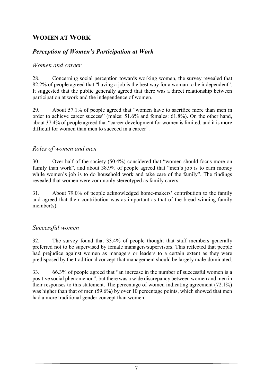# **WOMEN AT WORK**

#### *Perception of Women's Participation at Work*

#### *Women and career*

28. Concerning social perception towards working women, the survey revealed that 82.2% of people agreed that "having a job is the best way for a woman to be independent". It suggested that the public generally agreed that there was a direct relationship between participation at work and the independence of women.

29. About 57.1% of people agreed that "women have to sacrifice more than men in order to achieve career success" (males: 51.6% and females: 61.8%). On the other hand, about 37.4% of people agreed that "career development for women is limited, and it is more difficult for women than men to succeed in a career".

#### *Roles of women and men*

30. Over half of the society (50.4%) considered that "women should focus more on family than work", and about 38.9% of people agreed that "men's job is to earn money while women's job is to do household work and take care of the family". The findings revealed that women were commonly stereotyped as family carers.

31. About 79.0% of people acknowledged home-makers' contribution to the family and agreed that their contribution was as important as that of the bread-winning family member(s).

#### *Successful women*

32. The survey found that 33.4% of people thought that staff members generally preferred not to be supervised by female managers/supervisors. This reflected that people had prejudice against women as managers or leaders to a certain extent as they were predisposed by the traditional concept that management should be largely male-dominated.

33. 66.3% of people agreed that "an increase in the number of successful women is a positive social phenomenon", but there was a wide discrepancy between women and men in their responses to this statement. The percentage of women indicating agreement (72.1%) was higher than that of men (59.6%) by over 10 percentage points, which showed that men had a more traditional gender concept than women.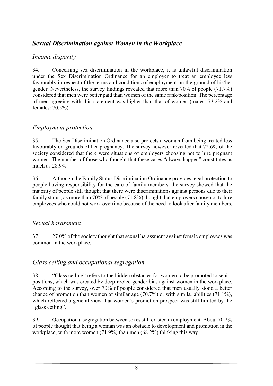# *Sexual Discrimination against Women in the Workplace*

#### *Income disparity*

34. Concerning sex discrimination in the workplace, it is unlawful discrimination under the Sex Discrimination Ordinance for an employer to treat an employee less favourably in respect of the terms and conditions of employment on the ground of his/her gender. Nevertheless, the survey findings revealed that more than 70% of people (71.7%) considered that men were better paid than women of the same rank/position. The percentage of men agreeing with this statement was higher than that of women (males: 73.2% and females: 70.5%).

#### *Employment protection*

35. The Sex Discrimination Ordinance also protects a woman from being treated less favourably on grounds of her pregnancy. The survey however revealed that 72.6% of the society considered that there were situations of employers choosing not to hire pregnant women. The number of those who thought that these cases "always happen" constitutes as much as 28.9%.

36. Although the Family Status Discrimination Ordinance provides legal protection to people having responsibility for the care of family members, the survey showed that the majority of people still thought that there were discriminations against persons due to their family status, as more than 70% of people (71.8%) thought that employers chose not to hire employees who could not work overtime because of the need to look after family members.

#### *Sexual harassment*

37. 27.0% of the society thought that sexual harassment against female employees was common in the workplace.

#### *Glass ceiling and occupational segregation*

38. "Glass ceiling" refers to the hidden obstacles for women to be promoted to senior positions, which was created by deep-rooted gender bias against women in the workplace. According to the survey, over 70% of people considered that men usually stood a better chance of promotion than women of similar age (70.7%) or with similar abilities (71.1%), which reflected a general view that women's promotion prospect was still limited by the "glass ceiling".

39. Occupational segregation between sexes still existed in employment. About 70.2% of people thought that being a woman was an obstacle to development and promotion in the workplace, with more women (71.9%) than men (68.2%) thinking this way.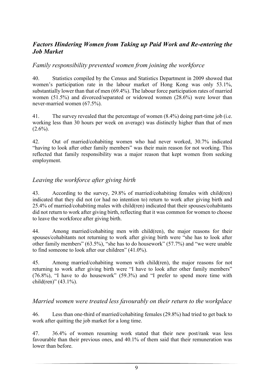#### *Factors Hindering Women from Taking up Paid Work and Re-entering the Job Market*

#### *Family responsibility prevented women from joining the workforce*

40. Statistics compiled by the Census and Statistics Department in 2009 showed that women's participation rate in the labour market of Hong Kong was only 53.1%. substantially lower than that of men (69.4%). The labour force participation rates of married women (51.5%) and divorced/separated or widowed women (28.6%) were lower than never-married women (67.5%).

41. The survey revealed that the percentage of women (8.4%) doing part-time job (i.e. working less than 30 hours per week on average) was distinctly higher than that of men  $(2.6\%)$ .

42. Out of married/cohabiting women who had never worked, 30.7% indicated "having to look after other family members" was their main reason for not working. This reflected that family responsibility was a major reason that kept women from seeking employment.

#### *Leaving the workforce after giving birth*

43. According to the survey, 29.8% of married/cohabiting females with child(ren) indicated that they did not (or had no intention to) return to work after giving birth and 25.4% of married/cohabiting males with child(ren) indicated that their spouses/cohabitants did not return to work after giving birth, reflecting that it was common for women to choose to leave the workforce after giving birth.

44. Among married/cohabiting men with child(ren), the major reasons for their spouses/cohabitants not returning to work after giving birth were "she has to look after other family members" (63.5%), "she has to do housework" (57.7%) and "we were unable to find someone to look after our children" (41.0%).

45. Among married/cohabiting women with child(ren), the major reasons for not returning to work after giving birth were "I have to look after other family members" (76.8%), "I have to do housework" (59.3%) and "I prefer to spend more time with child(ren)"  $(43.1\%)$ .

#### *Married women were treated less favourably on their return to the workplace*

46. Less than one-third of married/cohabiting females (29.8%) had tried to get back to work after quitting the job market for a long time.

47. 36.4% of women resuming work stated that their new post/rank was less favourable than their previous ones, and 40.1% of them said that their remuneration was lower than before.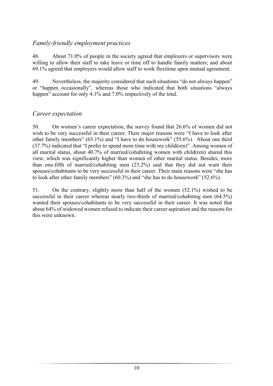# *Family-friendly employment practices*

48. About 71.0% of people in the society agreed that employers or supervisors were willing to allow their staff to take leave or time off to handle family matters; and about 69.1% agreed that employers would allow staff to work flexitime upon mutual agreement.

49. Nevertheless, the majority considered that such situations "do not always happen" or "happen occasionally", whereas those who indicated that both situations "always happen" account for only 4.1% and 7.0% respectively of the total.

# *Career expectation*

50. On women's career expectation, the survey found that 26.6% of women did not wish to be very successful in their career. Their major reasons were "I have to look after other family members" (65.1%) and "I have to do housework" (55.6%). About one third (37.7%) indicated that "I prefer to spend more time with my child(ren)". Among women of all marital status, about 40.7% of married/cohabiting women with child(ren) shared this view, which was significantly higher than women of other marital status. Besides, more than one-fifth of married/cohabiting men (23.2%) said that they did not want their spouses/cohabitants to be very successful in their career. Their main reasons were "she has to look after other family members" (60.3%) and "she has to do housework" (52.6%).

51. On the contrary, slightly more than half of the women (52.1%) wished to be successful in their career whereas nearly two-thirds of married/cohabiting men (64.5%) wanted their spouses/cohabitants to be very successful in their career. It was noted that about 64% of widowed women refused to indicate their career aspiration and the reasons for this were unknown.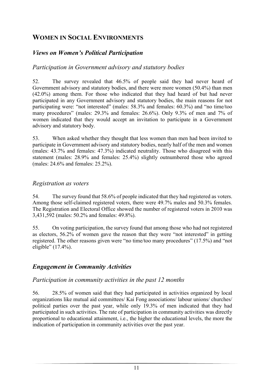# **WOMEN IN SOCIAL ENVIRONMENTS**

# *Views on Women's Political Participation*

#### *Participation in Government advisory and statutory bodies*

52. The survey revealed that 46.5% of people said they had never heard of Government advisory and statutory bodies, and there were more women (50.4%) than men (42.0%) among them. For those who indicated that they had heard of but had never participated in any Government advisory and statutory bodies, the main reasons for not participating were: "not interested" (males: 58.3% and females: 60.3%) and "no time/too many procedures" (males: 29.3% and females: 26.6%). Only 9.3% of men and 7% of women indicated that they would accept an invitation to participate in a Government advisory and statutory body.

53. When asked whether they thought that less women than men had been invited to participate in Government advisory and statutory bodies, nearly half of the men and women (males: 43.7% and females: 47.3%) indicated neutrality. Those who disagreed with this statement (males: 28.9% and females: 25.4%) slightly outnumbered those who agreed (males: 24.6% and females: 25.2%).

#### *Registration as voters*

54. The survey found that 58.6% of people indicated that they had registered as voters. Among those self-claimed registered voters, there were 49.7% males and 50.3% females. The Registration and Electoral Office showed the number of registered voters in 2010 was 3,431,592 (males: 50.2% and females: 49.8%).

55. On voting participation, the survey found that among those who had not registered as electors, 56.2% of women gave the reason that they were "not interested" in getting registered. The other reasons given were "no time/too many procedures" (17.5%) and "not eligible" (17.4%).

# *Engagement in Community Activities*

#### *Participation in community activities in the past 12 months*

56. 28.5% of women said that they had participated in activities organized by local organizations like mutual aid committees/ Kai Fong associations/ labour unions/ churches/ political parties over the past year, while only 19.3% of men indicated that they had participated in such activities. The rate of participation in community activities was directly proportional to educational attainment, i.e., the higher the educational levels, the more the indication of participation in community activities over the past year.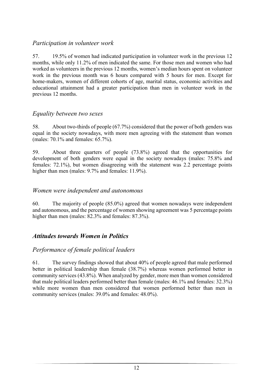#### *Participation in volunteer work*

57. 19.5% of women had indicated participation in volunteer work in the previous 12 months, while only 11.2% of men indicated the same. For those men and women who had worked as volunteers in the previous 12 months, women's median hours spent on volunteer work in the previous month was 6 hours compared with 5 hours for men. Except for home-makers, women of different cohorts of age, marital status, economic activities and educational attainment had a greater participation than men in volunteer work in the previous 12 months.

#### *Equality between two sexes*

58. About two-thirds of people (67.7%) considered that the power of both genders was equal in the society nowadays, with more men agreeing with the statement than women (males: 70.1% and females: 65.7%).

59. About three quarters of people (73.8%) agreed that the opportunities for development of both genders were equal in the society nowadays (males: 75.8% and females: 72.1%), but women disagreeing with the statement was 2.2 percentage points higher than men (males: 9.7% and females: 11.9%).

#### *Women were independent and autonomous*

60. The majority of people (85.0%) agreed that women nowadays were independent and autonomous, and the percentage of women showing agreement was 5 percentage points higher than men (males:  $82.3\%$  and females:  $87.3\%$ ).

#### *Attitudes towards Women in Politics*

#### *Performance of female political leaders*

61. The survey findings showed that about 40% of people agreed that male performed better in political leadership than female (38.7%) whereas women performed better in community services (43.8%). When analyzed by gender, more men than women considered that male political leaders performed better than female (males: 46.1% and females: 32.3%) while more women than men considered that women performed better than men in community services (males: 39.0% and females: 48.0%).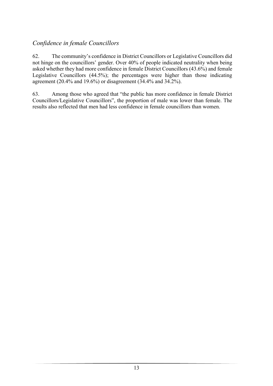# *Confidence in female Councillors*

62. The community's confidence in District Councillors or Legislative Councillors did not hinge on the councillors' gender. Over 40% of people indicated neutrality when being asked whether they had more confidence in female District Councillors (43.6%) and female Legislative Councillors (44.5%); the percentages were higher than those indicating agreement (20.4% and 19.6%) or disagreement (34.4% and 34.2%).

63. Among those who agreed that "the public has more confidence in female District Councillors/Legislative Councillors", the proportion of male was lower than female. The results also reflected that men had less confidence in female councillors than women.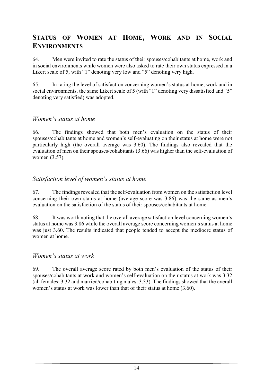# **STATUS OF WOMEN AT HOME, WORK AND IN SOCIAL ENVIRONMENTS**

64. Men were invited to rate the status of their spouses/cohabitants at home, work and in social environments while women were also asked to rate their own status expressed in a Likert scale of 5, with "1" denoting very low and "5" denoting very high.

65. In rating the level of satisfaction concerning women's status at home, work and in social environments, the same Likert scale of 5 (with "1" denoting very dissatisfied and "5" denoting very satisfied) was adopted.

#### *Women's status at home*

66. The findings showed that both men's evaluation on the status of their spouses/cohabitants at home and women's self-evaluating on their status at home were not particularly high (the overall average was 3.60). The findings also revealed that the evaluation of men on their spouses/cohabitants (3.66) was higher than the self-evaluation of women (3.57).

#### *Satisfaction level of women's status at home*

67. The findings revealed that the self-evaluation from women on the satisfaction level concerning their own status at home (average score was 3.86) was the same as men's evaluation on the satisfaction of the status of their spouses/cohabitants at home.

68.It was worth noting that the overall average satisfaction level concerning women's status at home was 3.86 while the overall average score concerning women's status at home was just 3.60. The results indicated that people tended to accept the mediocre status of women at home.

#### *Women's status at work*

69. The overall average score rated by both men's evaluation of the status of their spouses/cohabitants at work and women's self-evaluation on their status at work was 3.32 (all females: 3.32 and married/cohabiting males: 3.33). The findings showed that the overall women's status at work was lower than that of their status at home (3.60).